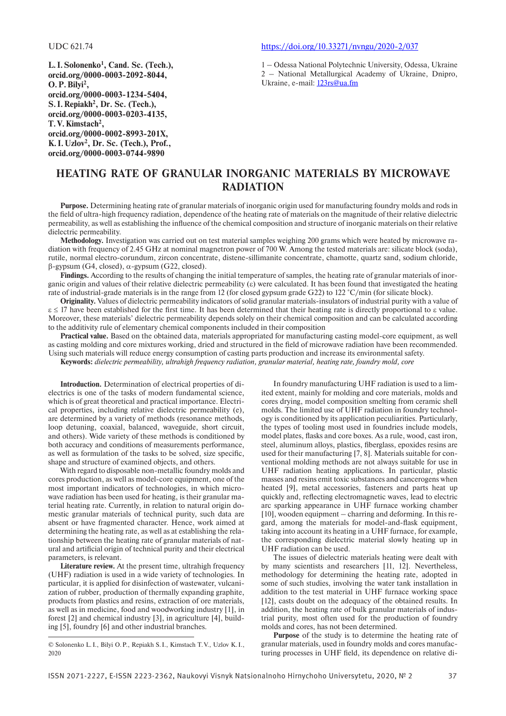**L. I.Solonenko<sup>1</sup> , Cand. Sc. (Tech.), orcid.org/0000-0003-2092-8044, O.P.Bilyi2 , orcid.org/0000-0003-1234-5404, S. I. Repiakh2 , Dr. Sc. (Tech.), orcid.org/0000-0003-0203-4135, T.V.Kimstach2 , orcid.org/0000-0002-8993-201X, K. I. Uzlov2 , Dr. Sc. (Tech.), Prof., orcid.org/0000-0003-0744-9890**

### UDC 621.74 <https://doi.org/10.33271/nvngu/2020-2/037>

1 – Odessa National Polytechnic University, Odessa, Ukraine 2 – National Metallurgical Academy of Ukraine, Dnipro, Ukraine, e-mail: [123rs@ua.fm](mailto:123rs@ua.fm)

# **Heating rate of granular inorganic materials by microwave radiation**

**Purpose.** Determining heating rate of granular materials of inorganic origin used for manufacturing foundry molds and rods in the field of ultra-high frequency radiation, dependence of the heating rate of materials on the magnitude of their relative dielectric permeability, as well as establishing the influence of the chemical composition and structure of inorganic materials on their relative dielectric permeability.

**Methodology.** Investigation was carried out on test material samples weighing 200 grams which were heated by microwave radiation with frequency of 2.45 GHz at nominal magnetron power of 700 W. Among the tested materials are: silicate block (soda), rutile, normal electro-corundum, zircon concentrate, distene-sillimanite concentrate, chamotte, quartz sand, sodium chloride, β-gypsum (G4, closed), a-gypsum (G22, closed).

**Findings.** According to the results of changing the initial temperature of samples, the heating rate of granular materials of inorganic origin and values of their relative dielectric permeability  $(\varepsilon)$  were calculated. It has been found that investigated the heating rate of industrial-grade materials is in the range from 12 (for closed gypsum grade G22) to 122 °C/min (for silicate block).

**Originality.** Values of dielectric permeability indicators of solid granular materials-insulators of industrial purity with a value of  $\varepsilon \le 17$  have been established for the first time. It has been determined that their heating rate is directly proportional to  $\varepsilon$  value. Moreover, these materials' dielectric permeability depends solely on their chemical composition and can be calculated according to the additivity rule of elementary chemical components included in their composition

**Practical value.** Based on the obtained data, materials appropriated for manufacturing casting model-core equipment, as well as casting molding and core mixtures working, dried and structured in the field of microwave radiation have been recommended. Using such materials will reduce energy consumption of casting parts production and increase its environmental safety.

**Keywords:** *dielectric permeability, ultrahigh frequency radiation, granular material, heating rate, foundry mold, core*

**Introduction.** Determination of electrical properties of dielectrics is one of the tasks of modern fundamental science, which is of great theoretical and practical importance. Electrical properties, including relative dielectric permeability (e), are determined by a variety of methods (resonance methods, loop detuning, coaxial, balanced, waveguide, short circuit, and others). Wide variety of these methods is conditioned by both accuracy and conditions of measurements performance, as well as formulation of the tasks to be solved, size specific, shape and structure of examined objects, and others.

With regard to disposable non-metallic foundry molds and cores production, as well as model-core equipment, one of the most important indicators of technologies, in which microwave radiation has been used for heating, is their granular material heating rate. Currently, in relation to natural origin domestic granular materials of technical purity, such data are absent or have fragmented character. Hence, work aimed at determining the heating rate, as well as at establishing the relationship between the heating rate of granular materials of natural and artificial origin of technical purity and their electrical parameters, is relevant.

**Literature review.** At the present time, ultrahigh frequency (UHF) radiation is used in a wide variety of technologies. In particular, it is applied for disinfection of wastewater, vulcanization of rubber, production of thermally expanding graphite, products from plastics and resins, extraction of ore materials, as well as in medicine, food and woodworking industry [1], in forest [2] and chemical industry [3], in agriculture [4], building [5], foundry [6] and other industrial branches.

In foundry manufacturing UHF radiation is used to a limited extent, mainly for molding and core materials, molds and cores drying, model composition smelting from ceramic shell molds. The limited use of UHF radiation in foundry technology is conditioned by its application peculiarities. Particularly, the types of tooling most used in foundries include models, model plates, flasks and core boxes. As a rule, wood, cast iron, steel, aluminum alloys, plastics, fiberglass, epoxides resins are used for their manufacturing [7, 8]. Materials suitable for conventional molding methods are not always suitable for use in UHF radiation heating applications. In particular, plastic masses and resins emit toxic substances and cancerogens when heated [9], metal accessories, fasteners and parts heat up quickly and, reflecting electromagnetic waves, lead to electric arc sparking appearance in UHF furnace working chamber [10], wooden equipment – charring and deforming. In this regard, among the materials for model-and-flask equipment, taking into account its heating in a UHF furnace, for example, the corresponding dielectric material slowly heating up in UHF radiation can be used.

The issues of dielectric materials heating were dealt with by many scientists and researchers [11, 12]. Nevertheless, methodology for determining the heating rate, adopted in some of such studies, involving the water tank installation in addition to the test material in UHF furnace working space [12], casts doubt on the adequacy of the obtained results. In addition, the heating rate of bulk granular materials of industrial purity, most often used for the production of foundry molds and cores, has not been determined.

© Solonenko L.I., Bilyi O.P., Repiakh S.I., Kimstach T.V., Uzlov K.I., 2020

**Purpose** of the study is to determine the heating rate of granular materials, used in foundry molds and cores manufacturing processes in UHF field, its dependence on relative di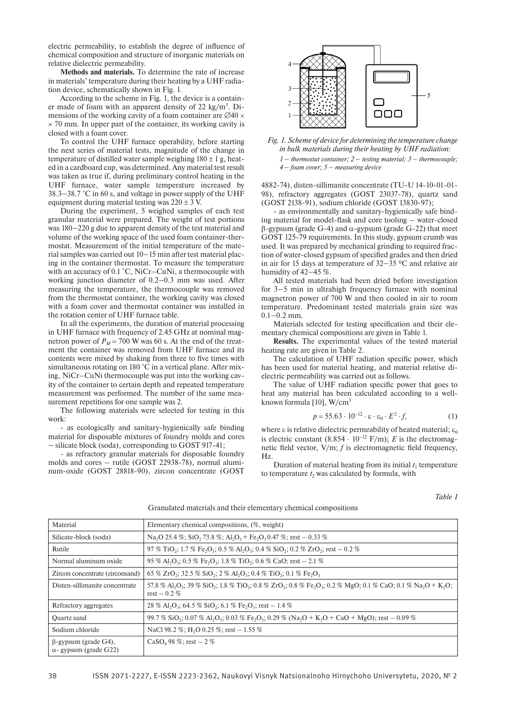electric permeability, to establish the degree of influence of chemical composition and structure of inorganic materials on relative dielectric permeability.

**Methods and materials.** To determine the rate of increase in materials' temperature during their heating by a UHF radiation device, schematically shown in Fig. 1.

According to the scheme in Fig. 1, the device is a container made of foam with an apparent density of 22 kg/m<sup>3</sup>. Dimensions of the working cavity of a foam container are  $\varnothing$ 40  $\times$  $\times$  70 mm. In upper part of the container, its working cavity is closed with a foam cover.

To control the UHF furnace operability, before starting the next series of material tests, magnitude of the change in temperature of distilled water sample weighing  $180 \pm 1$  g, heated in a cardboard cup, was determined. Any material test result was taken as true if, during preliminary control heating in the UHF furnace, water sample temperature increased by 38.3‒38.7 °С in 60 s, and voltage in power supply of the UHF equipment during material testing was  $220 \pm 3$  V.

During the experiment, 5 weighed samples of each test granular material were prepared. The weight of test portions was  $180-220$  g due to apparent density of the test material and volume of the working space of the used foam container-thermostat. Measurement of the initial temperature of the material samples was carried out 10–15 min after test material placing in the container thermostat. To measure the temperature with an accuracy of 0.1 °C, NiCr–CuNi, a thermocouple with working junction diameter of 0.2–0.3 mm was used. After measuring the temperature, the thermocouple was removed from the thermostat container, the working cavity was closed with a foam cover and thermostat container was installed in the rotation center of UHF furnace table.

In all the experiments, the duration of material processing in UHF furnace with frequency of 2.45 GHz at nominal magnetron power of  $P_M$  = 700 W was 60 s. At the end of the treatment the container was removed from UHF furnace and its contents were mixed by shaking from three to five times with simultaneous rotating on 180 °C in a vertical plane. After mixing, NiCr–CuNi thermocouple was put into the working cavity of the container to certain depth and repeated temperature measurement was performed. The number of the same measurement repetitions for one sample was 2.

The following materials were selected for testing in this work:

- as ecologically and sanitary-hygienically safe binding material for disposable mixtures of foundry molds and cores ‒ silicate block (soda), corresponding to GOST 917-41;

- as refractory granular materials for disposable foundry molds and cores – rutile (GOST 22938-78), normal aluminum-oxide (GOST 28818-90), zircon concentrate (GOST





*1 ‒ thermostat container; 2 ‒ testing material; 3 – thermocouple; 4 ‒ foam cover; 5 ‒ measuring device*

4882-74), disten-sillimanite concentrate (TU-U 14-10-01-01-98), refractory aggregates (GOST 23037-78), quartz sand (GOST 2138-91), sodium chloride (GOST 13830-97);

- as environmentally and sanitary-hygienically safe binding material for model-flask and core tooling – water-closed  $\beta$ -gypsum (grade G-4) and  $\alpha$ -gypsum (grade G-22) that meet GOST 125-79 requirements. In this study, gypsum crumb was used. It was prepared by mechanical grinding to required fraction of water-closed gypsum of specified grades and then dried in air for 15 days at temperature of  $32-35$  °C and relative air humidity of  $42-45\%$ .

All tested materials had been dried before investigation for 3–5 min in ultrahigh frequency furnace with nominal magnetron power of 700 W and then cooled in air to room temperature. Predominant tested materials grain size was  $0.1 - 0.2$  mm.

Materials selected for testing specification and their elementary chemical compositions are given in Table 1.

**Results.** The experimental values of the tested material heating rate are given in Table 2.

The calculation of UHF radiation specific power, which has been used for material heating, and material relative dielectric permeability was carried out as follows.

The value of UHF radiation specific power that goes to heat any material has been calculated according to a wellknown formula  $[10]$ , W/cm<sup>3</sup>

$$
p = 55.63 \cdot 10^{-12} \cdot \varepsilon \cdot \varepsilon_0 \cdot E^2 \cdot f,\tag{1}
$$

where  $\varepsilon$  is relative dielectric permeability of heated material;  $\varepsilon_0$ is electric constant  $(8.854 \cdot 10^{-12} \text{ F/m})$ ; *E* is the electromagnetic field vector, V/m; *f* is electromagnetic field frequency, Hz.

Duration of material heating from its initial  $t_1$  temperature to temperature  $t_2$  was calculated by formula, with

*Table 1*

| Material                                                     | Elementary chemical compositions, (%, weight)                                                                                                                                                                                                 |
|--------------------------------------------------------------|-----------------------------------------------------------------------------------------------------------------------------------------------------------------------------------------------------------------------------------------------|
| Silicate-block (soda)                                        | Na <sub>2</sub> O 25.4 %; SiO <sub>2</sub> 73.8 %; Al <sub>2</sub> O <sub>3</sub> + Fe <sub>2</sub> O <sub>3</sub> 0.47 %; rest – 0.33 %                                                                                                      |
| Rutile                                                       | 97 % TiO <sub>2</sub> ; 1.7 % Fe <sub>2</sub> O <sub>3</sub> ; 0.5 % Al <sub>2</sub> O <sub>3</sub> ; 0.4 % SiO <sub>2</sub> ; 0.2 % ZrO <sub>2</sub> ; rest – 0.2 %                                                                          |
| Normal aluminum oxide                                        | 95 % Al <sub>2</sub> O <sub>3</sub> ; 0.5 % Fe <sub>2</sub> O <sub>3</sub> ; 1.8 % TiO <sub>2</sub> ; 0.6 % CaO; rest - 2.1 %                                                                                                                 |
| Zircon concentrate (zirconsand)                              | 65 % ZrO <sub>2</sub> ; 32.5 % SiO <sub>2</sub> ; 2 % Al <sub>2</sub> O <sub>3</sub> ; 0.4 % TiO <sub>2</sub> ; 0.1 % Fe <sub>2</sub> O <sub>3</sub>                                                                                          |
| Disten-sillimanite concentrate                               | 57.8 % Al <sub>2</sub> O <sub>3</sub> ; 39 % SiO <sub>2</sub> ; 1.8 % TiO <sub>2</sub> ; 0.8 % ZrO <sub>2</sub> ; 0.8 % Fe <sub>2</sub> O <sub>3</sub> ; 0.2 % MgO; 0.1 % CaO; 0.1 % Na <sub>2</sub> O + K <sub>2</sub> O;<br>$rest - 0.2 \%$ |
| Refractory aggregates                                        | 28 % Al <sub>2</sub> O <sub>3</sub> ; 64.5 % SiO <sub>2</sub> ; 6.1 % Fe <sub>2</sub> O <sub>3</sub> ; rest – 1.4 %                                                                                                                           |
| Quartz sand                                                  | $99.7\%$ SiO <sub>2</sub> ; 0.07 % Al <sub>2</sub> O <sub>3</sub> ; 0.03 % Fe <sub>2</sub> O <sub>3</sub> ; 0.29 % (Na <sub>2</sub> O + K <sub>2</sub> O + CaO + MgO); rest – 0.09 %                                                          |
| Sodium chloride                                              | NaCl 98.2 %; H <sub>2</sub> O 0.25 %; rest $-1.55$ %                                                                                                                                                                                          |
| $\beta$ -gypsum (grade G4),<br>$\alpha$ - gypsum (grade G22) | $CaSO_4 98 \%$ ; rest $-2%$                                                                                                                                                                                                                   |

Granulated materials and their elementary chemical compositions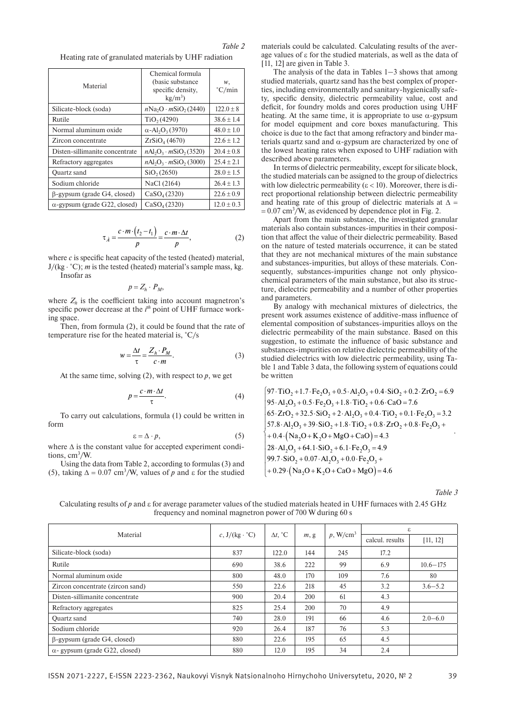|                                                       | Table 2 |
|-------------------------------------------------------|---------|
| Heating rate of granulated materials by UHF radiation |         |

| Material                             | Chemical formula<br>(basic substance)<br>specific density,<br>$kg/m^3$ | w,<br>$\degree$ C/min |
|--------------------------------------|------------------------------------------------------------------------|-----------------------|
| Silicate-block (soda)                | $nNa2O \cdot mSiO2(2440)$                                              | $122.0 \pm 8$         |
| Rutile                               | TiO <sub>2</sub> (4290)                                                | $38.6 + 1.4$          |
| Normal aluminum oxide                | $\alpha$ -Al <sub>2</sub> O <sub>3</sub> (3970)                        | $48.0 + 1.0$          |
| Zircon concentrate                   | $ZrSiO4$ (4670)                                                        | $22.6 + 1.2$          |
| Disten-sillimanite concentrate       | $nAI_2O_3 \cdot mSiO_2(3520)$                                          | $20.4 \pm 0.8$        |
| Refractory aggregates                | $nAI_2O_3 \cdot mSiO_2$ (3000)                                         | $25.4 + 2.1$          |
| Quartz sand                          | SiO <sub>2</sub> (2650)                                                | $28.0 + 1.5$          |
| Sodium chloride                      | NaCl (2164)                                                            | $26.4 \pm 1.3$        |
| $\beta$ -gypsum (grade G4, closed)   | CaSO <sub>4</sub> (2320)                                               | $22.6 \pm 0.9$        |
| $\alpha$ -gypsum (grade G22, closed) | $CaSO_{4}(2320)$                                                       | $12.0 \pm 0.3$        |

$$
\tau_{\lambda} = \frac{c \cdot m \cdot (t_2 - t_1)}{p} = \frac{c \cdot m \cdot \Delta t}{p},\tag{2}
$$

where *c* is specific heat capacity of the tested (heated) material, J/(kg ⋅ °C); *m* is the tested (heated) material's sample mass, kg.

Insofar as

$$
p=Z_h\cdot P_M,
$$

where  $Z_h$  is the coefficient taking into account magnetron's specific power decrease at the *i*<sup>th</sup> point of UHF furnace working space.

Then, from formula (2), it could be found that the rate of temperature rise for the heated material is, °C/s

$$
w = \frac{\Delta t}{\tau} = \frac{Z_h \cdot P_M}{c \cdot m}.
$$
 (3)

At the same time, solving  $(2)$ , with respect to  $p$ , we get

$$
p = \frac{c \cdot m \cdot \Delta t}{\tau}.\tag{4}
$$

To carry out calculations, formula (1) could be written in form

$$
\varepsilon = \Delta \cdot p,\tag{5}
$$

where  $\Delta$  is the constant value for accepted experiment conditions, cm<sup>3</sup>/W.

Using the data from Table 2, according to formulas (3) and (5), taking  $\Delta = 0.07$  cm<sup>3</sup>/W, values of *p* and  $\epsilon$  for the studied

materials could be calculated. Calculating results of the average values of e for the studied materials, as well as the data of [11, 12] are given in Table 3.

The analysis of the data in Tables  $1-3$  shows that among studied materials, quartz sand has the best complex of properties, including environmentally and sanitary-hygienically safety, specific density, dielectric permeability value, cost and deficit, for foundry molds and cores production using UHF heating. At the same time, it is appropriate to use  $\alpha$ -gypsum for model equipment and core boxes manufacturing. This choice is due to the fact that among refractory and binder materials quartz sand and  $\alpha$ -gypsum are characterized by one of the lowest heating rates when exposed to UHF radiation with described above parameters.

In terms of dielectric permeability, except for silicate block, the studied materials can be assigned to the group of dielectrics with low dielectric permeability ( $\varepsilon$  < 10). Moreover, there is direct proportional relationship between dielectric permeability and heating rate of this group of dielectric materials at  $\Delta =$  $= 0.07$  cm<sup>3</sup>/W, as evidenced by dependence plot in Fig. 2.

Apart from the main substance, the investigated granular materials also contain substances-impurities in their composition that affect the value of their dielectric permeability. Based on the nature of tested materials occurrence, it can be stated that they are not mechanical mixtures of the main substance and substances-impurities, but alloys of these materials. Consequently, substances-impurities change not only physicochemical parameters of the main substance, but also its structure, dielectric permeability and a number of other properties and parameters.

By analogy with mechanical mixtures of dielectrics, the present work assumes existence of additive-mass influence of elemental composition of substances-impurities alloys on the dielectric permeability of the main substance. Based on this suggestion, to estimate the influence of basic substance and substances-impurities on relative dielectric permeability of the studied dielectrics with low dielectric permeability, using Table 1 and Table 3 data, the following system of equations could be written

$$
\begin{cases}\n97 \cdot TiO_2 + 1.7 \cdot Fe_2O_3 + 0.5 \cdot Al_2O_3 + 0.4 \cdot SiO_2 + 0.2 \cdot ZrO_2 = 6.9 \\
95 \cdot Al_2O_3 + 0.5 \cdot Fe_2O_3 + 1.8 \cdot TiO_2 + 0.6 \cdot CaO = 7.6 \\
65 \cdot ZrO_2 + 32.5 \cdot SiO_2 + 2 \cdot Al_2O_3 + 0.4 \cdot TiO_2 + 0.1 \cdot Fe_2O_3 = 3.2 \\
57.8 \cdot Al_2O_3 + 39 \cdot SiO_2 + 1.8 \cdot TiO_2 + 0.8 \cdot ZrO_2 + 0.8 \cdot Fe_2O_3 + \\
+ 0.4 \cdot (Na_2O + K_2O + MgO + CaO) = 4.3 \\
28 \cdot Al_2O_3 + 64.1 \cdot SiO_2 + 6.1 \cdot Fe_2O_3 = 4.9 \\
99.7 \cdot SiO_2 + 0.07 \cdot Al_2O_3 + 0.0 \cdot Fe_2O_3 + \\
+ 0.29 \cdot (Na_2O + K_2O + CaO + MgO) = 4.6\n\end{cases}
$$

*Table 3*

Calculating results of *p* and  $\epsilon$  for average parameter values of the studied materials heated in UHF furnaces with 2.45 GHz frequency and nominal magnetron power of 700 W during 60 s

| Material                              | c, $J/(kg \cdot ^{\circ}C)$ | $\Delta t$ , °C | m, g | $p$ , W/cm <sup>3</sup> | ε               |              |
|---------------------------------------|-----------------------------|-----------------|------|-------------------------|-----------------|--------------|
|                                       |                             |                 |      |                         | calcul. results | [11, 12]     |
| Silicate-block (soda)                 | 837                         | 122.0           | 144  | 245                     | 17.2            |              |
| Rutile                                | 690                         | 38.6            | 222  | 99                      | 6.9             | $10.6 - 175$ |
| Normal aluminum oxide                 | 800                         | 48.0            | 170  | 109                     | 7.6             | 80           |
| Zircon concentrate (zircon sand)      | 550                         | 22.6            | 218  | 45                      | 3.2             | $3.6 - 5.2$  |
| Disten-sillimanite concentrate        | 900                         | 20.4            | 200  | 61                      | 4.3             |              |
| Refractory aggregates                 | 825                         | 25.4            | 200  | 70                      | 4.9             |              |
| Quartz sand                           | 740                         | 28.0            | 191  | 66                      | 4.6             | $2.0 - 6.0$  |
| Sodium chloride                       | 920                         | 26.4            | 187  | 76                      | 5.3             |              |
| $\beta$ -gypsum (grade G4, closed)    | 880                         | 22.6            | 195  | 65                      | 4.5             |              |
| $\alpha$ - gypsum (grade G22, closed) | 880                         | 12.0            | 195  | 34                      | 2.4             |              |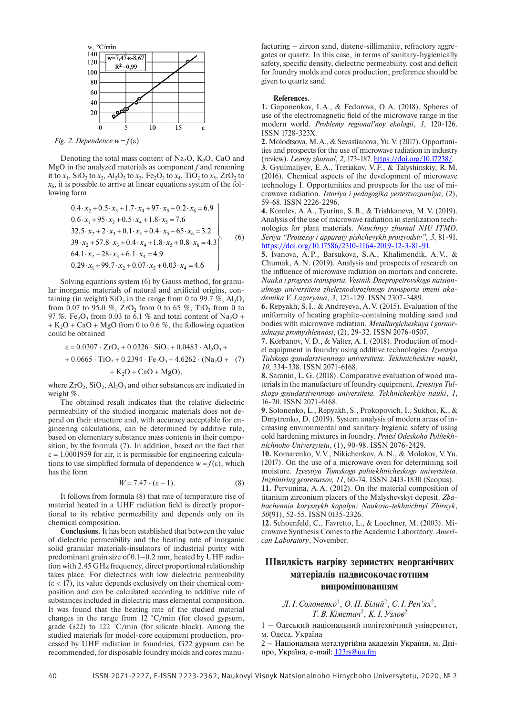

*Fig. 2. Dependence*  $w = f(\varepsilon)$ 

Denoting the total mass content of  $Na<sub>2</sub>O$ ,  $K<sub>2</sub>O$ , CaO and MgO in the analyzed materials as component *f* and renaming it to  $x_1$ , SiO<sub>2</sub> to  $x_2$ , Al<sub>2</sub>O<sub>3</sub> to  $x_3$ , Fe<sub>2</sub>O<sub>3</sub> to  $x_4$ , TiO<sub>2</sub> to  $x_5$ , ZrO<sub>2</sub> to  $x<sub>6</sub>$ , it is possible to arrive at linear equations system of the following form

$$
0.4 \cdot x_2 + 0.5 \cdot x_3 + 1.7 \cdot x_4 + 97 \cdot x_5 + 0.2 \cdot x_6 = 6.9
$$
  
\n
$$
0.6 \cdot x_1 + 95 \cdot x_3 + 0.5 \cdot x_4 + 1.8 \cdot x_5 = 7.6
$$
  
\n
$$
32.5 \cdot x_2 + 2 \cdot x_3 + 0.1 \cdot x_4 + 0.4 \cdot x_5 + 65 \cdot x_6 = 3.2
$$
  
\n
$$
39 \cdot x_2 + 57.8 \cdot x_3 + 0.4 \cdot x_4 + 1.8 \cdot x_5 + 0.8 \cdot x_6 = 4.3
$$
  
\n
$$
64.1 \cdot x_2 + 28 \cdot x_3 + 6.1 \cdot x_4 = 4.9
$$
  
\n
$$
0.29 \cdot x_1 + 99.7 \cdot x_2 + 0.07 \cdot x_3 + 0.03 \cdot x_4 = 4.6
$$
  
\n(6)

Solving equations system (6) by Gauss method, for granular inorganic materials of natural and artificial origins, containing (in weight) SiO<sub>2</sub> in the range from 0 to 99.7 %,  $Al_2O_3$ from 0.07 to 95.0 %, ZrO<sub>2</sub> from 0 to 65 %, TiO<sub>2</sub> from 0 to 97 %, Fe<sub>2</sub>O<sub>3</sub> from 0.03 to 6.1 % and total content of Na<sub>2</sub>O +  $+ K<sub>2</sub>O + CaO + MgO$  from 0 to 0.6 %, the following equation could be obtained

$$
\varepsilon = 0.0307 \cdot ZrO_2 + 0.0326 \cdot SiO_2 + 0.0483 \cdot Al_2O_3 ++ 0.0665 \cdot TiO_2 + 0.2394 \cdot Fe_2O_3 + 4.6262 \cdot (Na_2O + (7) + K_2O + CaO + MgO),
$$

where  $ZrO_2$ ,  $SiO_2$ ,  $Al_2O_3$  and other substances are indicated in weight %.

The obtained result indicates that the relative dielectric permeability of the studied inorganic materials does not depend on their structure and, with accuracy acceptable for engineering calculations, can be determined by additive rule, based on elementary substance mass contents in their composition, by the formula (7). In addition, based on the fact that  $\varepsilon$  = 1.0001959 for air, it is permissible for engineering calculations to use simplified formula of dependence  $w = f(\varepsilon)$ , which has the form

$$
W = 7.47 \cdot (\epsilon - 1). \tag{8}
$$

It follows from formula (8) that rate of temperature rise of material heated in a UHF radiation field is directly proportional to its relative permeability and depends only on its chemical composition.

**Conclusions.** It has been established that between the value of dielectric permeability and the heating rate of inorganic solid granular materials-insulators of industrial purity with predominant grain size of 0.1–0.2 mm, heated by UHF radiation with 2.45 GHz frequency, direct proportional relationship takes place. For dielectrics with low dielectric permeability  $(\epsilon < 17)$ , its value depends exclusively on their chemical composition and can be calculated according to additive rule of substances included in dielectric mass elemental composition. It was found that the heating rate of the studied material changes in the range from  $12 \degree C/\text{min}$  (for closed gypsum, grade G22) to 122 °C/min (for silicate block). Among the studied materials for model-core equipment production, processed by UHF radiation in foundries, G22 gypsum can be recommended, for disposable foundry molds and cores manu-

facturing – zircon sand, distene-sillimanite, refractory aggregates or quartz. In this case, in terms of sanitary-hygienically safety, specific density, dielectric permeability, cost and deficit for foundry molds and cores production, preference should be given to quartz sand.

#### **References.**

**1.** Gaponenkov, I.A., & Fedorova, O.A. (2018). Spheres of use of the electromagnetic field of the microwave range in the modern world. *Problemy regional'noy ekologii*, *1*, 120-126. ISSN 1728-323X.

**2.** Molodtsova, M.A., & Sevastianova, Yu.V. (2017). Opportunities and prospects for the use of microwave radiation in industry (review). *Lesnoy zhurnal*, *2*, 173-187. [https://doi.org/10.17238/.](https://doi.org/10.17238/)

**3.** Gyulmaliyev, E.A., Tretiakov, V.F., & Talyshinskiy, R.M. (2016). Chemical aspects of the development of microwave technology I. Opportunities and prospects for the use of microwave radiation. *Istoriya i pedagogika yestestvoznaniya*, (2), 59-68. ISSN 2226-2296.

**4.** Korolev, A.A., Tyurina, S.B., & Trishkaneva, M.V. (2019). Analysis of the use of microwave radiation in sterilization technologies for plant materials. *Nauchnyy zhurnal NIU ITMO*. *Seriya "Protsessy i apparaty pishchevykh proizvodstv", 3*, 81-91. [https://doi.org/10.17586/2310-1164-2019-12-3-81-91.](https://doi.org/10.17586/2310-1164-2019-12-3-81-91)

**5.** Ivanova, A.P., Barsukova, S.A., Khalimendik, A.V., & Chumak, A.N. (2019). Analysis and prospects of research on the influence of microwave radiation on mortars and concrete. *Nauka i progress transporta. Vestnik Dnepropetrovskogo natsionalnogo universiteta zheleznodorozhnogo transporta imeni akademika V. Lazaryana*, *3*, 121-129. ISSN 2307-3489.

**6.** Repyakh, S.I., & Andreyeva, A.V. (2015). Evaluation of the uniformity of heating graphite-containing molding sand and bodies with microwave radiation. *Metallurgicheskaya i gornorudnaya promyshlennost*, (2), 29-32. ISSN 2076-0507.

**7.** Korbanov, V.D., & Valter, A.I. (2018). Production of model equipment in foundry using additive technologies. *Izvestiya Tulskogo gosudarstvennogo universiteta. Tekhnicheskiye nauki*, *10*, 334-338. ISSN 2071-6168.

**8.** Saranin, L.G. (2018). Comparative evaluation of wood materials in the manufacture of foundry equipment. *Izvestiya Tulskogo gosudarstvennogo universiteta. Tekhnicheskiye nauki*, *1*, 16-20. ISSN 2071-6168.

**9.** Solonenko, L., Repyakh, S., Prokopovich, I., Sukhoi, K., & Dmytrenko, D. (2019). System analysis of modern areas of increasing environmental and sanitary hygienic safety of using cold hardening mixtures in foundry. *Pratsí Odeskoho Polítekhníchnoho Universytetu*, (1), 90-98. ISSN 2076-2429.

**10.** Komarenko, V.V., Nikichenkov, A.N., & Molokov, V.Yu. (2017). On the use of a microwave oven for determining soil moisture. *Izvestiya Tomskogo politekhnicheskogo universiteta. Inzhiniring georesursov, 11*, 60-74. ISSN 2413-1830 (Scopus).

**11.** Pervunina, A.A. (2012). On the material composition of titanium zirconium placers of the Malyshevskyi deposit. *Zbahachennia korysnykh kopalyn: Naukovo-tekhnichnyi Zbirnyk*, *50*(91), 52-55. ISSN 0135-2326.

**12.** Schoenfeld, C., Favretto, L., & Loechner, M. (2003). Microwave Synthesis Comes to the Academic Laboratory. *American Laboratory*, November.

### **Швидкість нагріву зернистих неорганічних матеріалів надвисокочастотним випромінюванням**

*Л. І.Солоненко*<sup>1</sup> , *О.П.Білий*<sup>2</sup> , *С. І.Реп'ях*<sup>2</sup> , *Т.В. Кімстач*<sup>2</sup> , *К. І.Узлов*<sup>2</sup>

1 – Одеський національний політехнічний університет, м. Одеса, Україна

2 – Національна металургійна академія України, м. Дніпро, Україна, e-mail: [123rs@ua.fm](mailto:123rs@ua.fm)